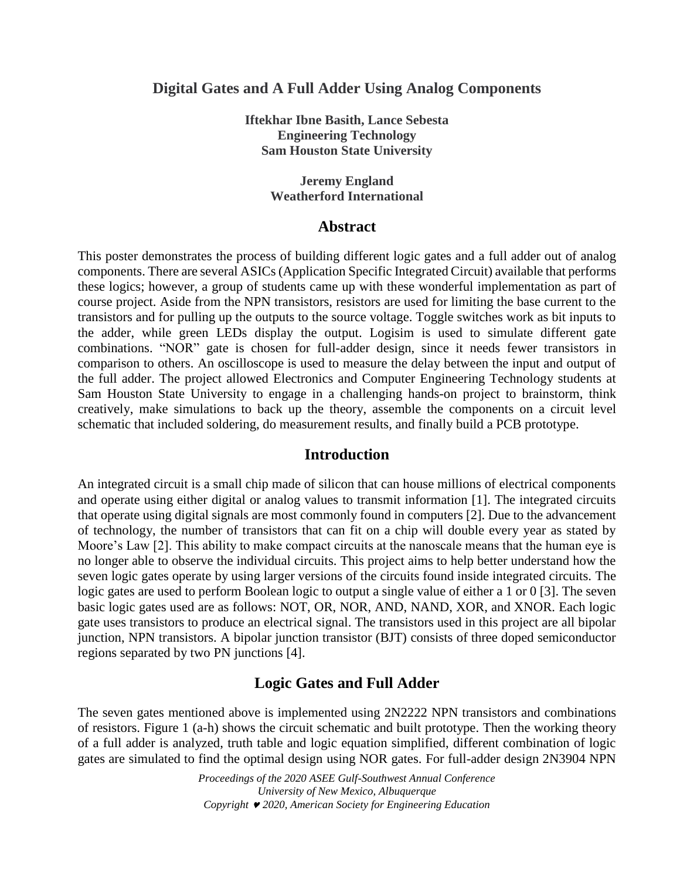## **Digital Gates and A Full Adder Using Analog Components**

**Iftekhar Ibne Basith, Lance Sebesta Engineering Technology Sam Houston State University**

> **Jeremy England Weatherford International**

### **Abstract**

This poster demonstrates the process of building different logic gates and a full adder out of analog components. There are several ASICs (Application Specific Integrated Circuit) available that performs these logics; however, a group of students came up with these wonderful implementation as part of course project. Aside from the NPN transistors, resistors are used for limiting the base current to the transistors and for pulling up the outputs to the source voltage. Toggle switches work as bit inputs to the adder, while green LEDs display the output. Logisim is used to simulate different gate combinations. "NOR" gate is chosen for full-adder design, since it needs fewer transistors in comparison to others. An oscilloscope is used to measure the delay between the input and output of the full adder. The project allowed Electronics and Computer Engineering Technology students at Sam Houston State University to engage in a challenging hands-on project to brainstorm, think creatively, make simulations to back up the theory, assemble the components on a circuit level schematic that included soldering, do measurement results, and finally build a PCB prototype.

### **Introduction**

An integrated circuit is a small chip made of silicon that can house millions of electrical components and operate using either digital or analog values to transmit information [1]. The integrated circuits that operate using digital signals are most commonly found in computers [2]. Due to the advancement of technology, the number of transistors that can fit on a chip will double every year as stated by Moore's Law [2]. This ability to make compact circuits at the nanoscale means that the human eye is no longer able to observe the individual circuits. This project aims to help better understand how the seven logic gates operate by using larger versions of the circuits found inside integrated circuits. The logic gates are used to perform Boolean logic to output a single value of either a 1 or 0 [3]. The seven basic logic gates used are as follows: NOT, OR, NOR, AND, NAND, XOR, and XNOR. Each logic gate uses transistors to produce an electrical signal. The transistors used in this project are all bipolar junction, NPN transistors. A bipolar junction transistor (BJT) consists of three doped semiconductor regions separated by two PN junctions [4].

## **Logic Gates and Full Adder**

The seven gates mentioned above is implemented using 2N2222 NPN transistors and combinations of resistors. Figure 1 (a-h) shows the circuit schematic and built prototype. Then the working theory of a full adder is analyzed, truth table and logic equation simplified, different combination of logic gates are simulated to find the optimal design using NOR gates. For full-adder design 2N3904 NPN

> *Proceedings of the 2020 ASEE Gulf-Southwest Annual Conference University of New Mexico, Albuquerque Copyright 2020, American Society for Engineering Education*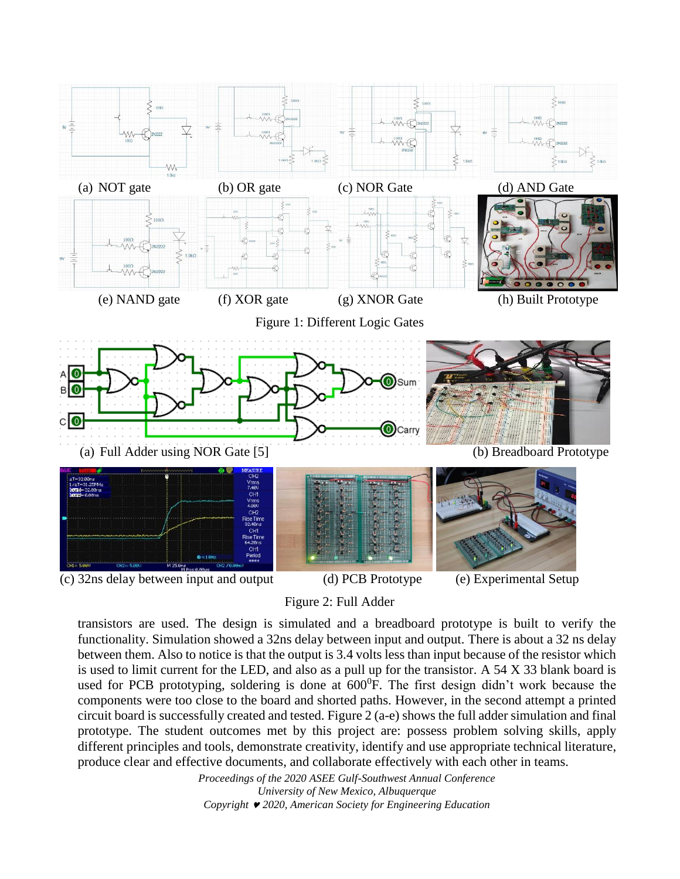

Figure 2: Full Adder

transistors are used. The design is simulated and a breadboard prototype is built to verify the functionality. Simulation showed a 32ns delay between input and output. There is about a 32 ns delay between them. Also to notice is that the output is 3.4 volts less than input because of the resistor which is used to limit current for the LED, and also as a pull up for the transistor. A 54 X 33 blank board is used for PCB prototyping, soldering is done at  $600^{\circ}$ F. The first design didn't work because the components were too close to the board and shorted paths. However, in the second attempt a printed circuit board is successfully created and tested. Figure 2 (a-e) shows the full adder simulation and final prototype. The student outcomes met by this project are: possess problem solving skills, apply different principles and tools, demonstrate creativity, identify and use appropriate technical literature, produce clear and effective documents, and collaborate effectively with each other in teams.

> *Proceedings of the 2020 ASEE Gulf-Southwest Annual Conference University of New Mexico, Albuquerque Copyright 2020, American Society for Engineering Education*